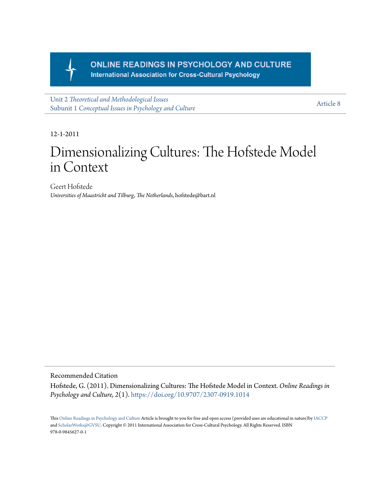

### **ONLINE READINGS IN PSYCHOLOGY AND CULTURE International Association for Cross-Cultural Psychology**

Unit 2 *[Theoretical and Methodological Issues](https://scholarworks.gvsu.edu/orpc/vol2)* Subunit 1 *[Conceptual Issues in Psychology and Culture](https://scholarworks.gvsu.edu/orpc/vol2/iss1)*

[Article 8](https://scholarworks.gvsu.edu/orpc/vol2/iss1/8)

12-1-2011

# Dimensionalizing Cultures: The Hofstede Model in Context

Geert Hofstede *Universities of Maastricht and Tilburg, The Netherlands*, hofstede@bart.nl

Recommended Citation

Hofstede, G. (2011). Dimensionalizing Cultures: The Hofstede Model in Context. *Online Readings in Psychology and Culture, 2*(1). <https://doi.org/10.9707/2307-0919.1014>

This [Online Readings in Psychology and Culture](http://scholarworks.gvsu.edu/orpc/) Article is brought to you for free and open access (provided uses are educational in nature)by [IACCP](http://www.iaccp.org/drupal/) and [ScholarWorks@GVSU](mailto:scholarworks@gvsu.edu). Copyright © 2011 International Association for Cross-Cultural Psychology. All Rights Reserved. ISBN 978-0-9845627-0-1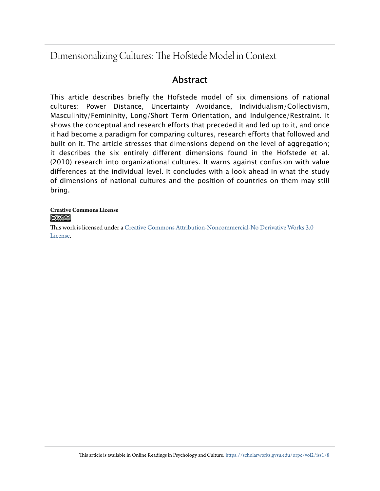# Dimensionalizing Cultures: The Hofstede Model in Context

# Abstract

This article describes briefly the Hofstede model of six dimensions of national cultures: Power Distance, Uncertainty Avoidance, Individualism/Collectivism, Masculinity/Femininity, Long/Short Term Orientation, and Indulgence/Restraint. It shows the conceptual and research efforts that preceded it and led up to it, and once it had become a paradigm for comparing cultures, research efforts that followed and built on it. The article stresses that dimensions depend on the level of aggregation; it describes the six entirely different dimensions found in the Hofstede et al. (2010) research into organizational cultures. It warns against confusion with value differences at the individual level. It concludes with a look ahead in what the study of dimensions of national cultures and the position of countries on them may still bring.

#### **Creative Commons License** @©®

This work is licensed under a [Creative Commons Attribution-Noncommercial-No Derivative Works 3.0](http://creativecommons.org/licenses/by-nc-nd/3.0/) [License.](http://creativecommons.org/licenses/by-nc-nd/3.0/)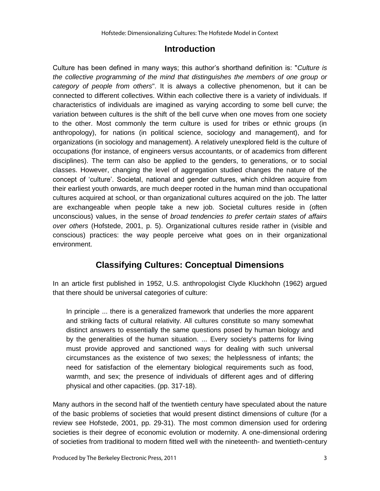# **Introduction**

Culture has been defined in many ways; this author's shorthand definition is: "*Culture is the collective programming of the mind that distinguishes the members of one group or category of people from others*". It is always a collective phenomenon, but it can be connected to different collectives. Within each collective there is a variety of individuals. If characteristics of individuals are imagined as varying according to some bell curve; the variation between cultures is the shift of the bell curve when one moves from one society to the other. Most commonly the term culture is used for tribes or ethnic groups (in anthropology), for nations (in political science, sociology and management), and for organizations (in sociology and management). A relatively unexplored field is the culture of occupations (for instance, of engineers versus accountants, or of academics from different disciplines). The term can also be applied to the genders, to generations, or to social classes. However, changing the level of aggregation studied changes the nature of the concept of 'culture'. Societal, national and gender cultures, which children acquire from their earliest youth onwards, are much deeper rooted in the human mind than occupational cultures acquired at school, or than organizational cultures acquired on the job. The latter are exchangeable when people take a new job. Societal cultures reside in (often unconscious) values, in the sense of *broad tendencies to prefer certain states of affairs over others* (Hofstede, 2001, p. 5). Organizational cultures reside rather in (visible and conscious) practices: the way people perceive what goes on in their organizational environment.

# **Classifying Cultures: Conceptual Dimensions**

In an article first published in 1952, U.S. anthropologist Clyde Kluckhohn (1962) argued that there should be universal categories of culture:

In principle ... there is a generalized framework that underlies the more apparent and striking facts of cultural relativity. All cultures constitute so many somewhat distinct answers to essentially the same questions posed by human biology and by the generalities of the human situation. ... Every society's patterns for living must provide approved and sanctioned ways for dealing with such universal circumstances as the existence of two sexes; the helplessness of infants; the need for satisfaction of the elementary biological requirements such as food, warmth, and sex; the presence of individuals of different ages and of differing physical and other capacities. (pp. 317-18).

Many authors in the second half of the twentieth century have speculated about the nature of the basic problems of societies that would present distinct dimensions of culture (for a review see Hofstede, 2001, pp. 29-31). The most common dimension used for ordering societies is their degree of economic evolution or modernity. A one-dimensional ordering of societies from traditional to modern fitted well with the nineteenth- and twentieth-century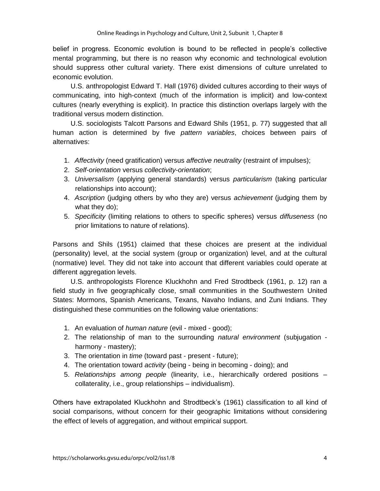belief in progress. Economic evolution is bound to be reflected in people's collective mental programming, but there is no reason why economic and technological evolution should suppress other cultural variety. There exist dimensions of culture unrelated to economic evolution.

U.S. anthropologist Edward T. Hall (1976) divided cultures according to their ways of communicating, into high-context (much of the information is implicit) and low-context cultures (nearly everything is explicit). In practice this distinction overlaps largely with the traditional versus modern distinction.

U.S. sociologists Talcott Parsons and Edward Shils (1951, p. 77) suggested that all human action is determined by five *pattern variables*, choices between pairs of alternatives:

- 1. *Affectivity* (need gratification) versus *affective neutrality* (restraint of impulses);
- 2. *Self-orientation* versus *collectivity-orientation*;
- 3. *Universalism* (applying general standards) versus *particularism* (taking particular relationships into account);
- 4. *Ascription* (judging others by who they are) versus *achievement* (judging them by what they do);
- 5. *Specificity* (limiting relations to others to specific spheres) versus *diffuseness* (no prior limitations to nature of relations).

Parsons and Shils (1951) claimed that these choices are present at the individual (personality) level, at the social system (group or organization) level, and at the cultural (normative) level. They did not take into account that different variables could operate at different aggregation levels.

U.S. anthropologists Florence Kluckhohn and Fred Strodtbeck (1961, p. 12) ran a field study in five geographically close, small communities in the Southwestern United States: Mormons, Spanish Americans, Texans, Navaho Indians, and Zuni Indians. They distinguished these communities on the following value orientations:

- 1. An evaluation of *human nature* (evil mixed good);
- 2. The relationship of man to the surrounding *natural environment* (subjugation harmony - mastery);
- 3. The orientation in *time* (toward past present future);
- 4. The orientation toward *activity* (being being in becoming doing); and
- 5. *Relationships among people* (linearity, i.e., hierarchically ordered positions collaterality, i.e., group relationships – individualism).

Others have extrapolated Kluckhohn and Strodtbeck's (1961) classification to all kind of social comparisons, without concern for their geographic limitations without considering the effect of levels of aggregation, and without empirical support.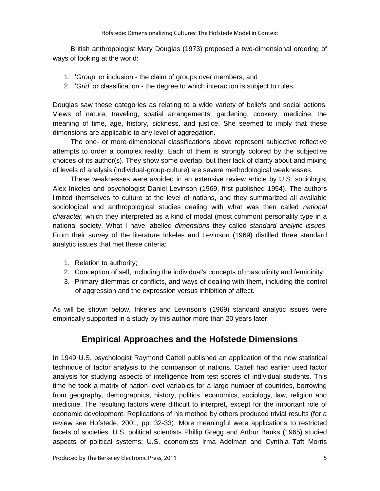British anthropologist Mary Douglas (1973) proposed a two-dimensional ordering of ways of looking at the world:

- 1. '*Group*' or inclusion the claim of groups over members, and
- 2. '*Grid*' or classification the degree to which interaction is subject to rules.

Douglas saw these categories as relating to a wide variety of beliefs and social actions: Views of nature, traveling, spatial arrangements, gardening, cookery, medicine, the meaning of time, age, history, sickness, and justice. She seemed to imply that these dimensions are applicable to any level of aggregation.

The one- or more-dimensional classifications above represent subjective reflective attempts to order a complex reality. Each of them is strongly colored by the subjective choices of its author(s). They show some overlap, but their lack of clarity about and mixing of levels of analysis (individual-group-culture) are severe methodological weaknesses.

These weaknesses were avoided in an extensive review article by U.S. sociologist Alex Inkeles and psychologist Daniel Levinson (1969, first published 1954). The authors limited themselves to culture at the level of nations, and they summarized all available sociological and anthropological studies dealing with what was then called *national character,* which they interpreted as a kind of modal (most common) personality type in a national society. What I have labelled *dimensions* they called *standard analytic issues*. From their survey of the literature Inkeles and Levinson (1969) distilled three standard analytic issues that met these criteria:

- 1. Relation to authority;
- 2. Conception of self, including the individual's concepts of masculinity and femininity;
- 3. Primary dilemmas or conflicts, and ways of dealing with them, including the control of aggression and the expression versus inhibition of affect.

As will be shown below, Inkeles and Levinson's (1969) standard analytic issues were empirically supported in a study by this author more than 20 years later.

### **Empirical Approaches and the Hofstede Dimensions**

In 1949 U.S. psychologist Raymond Cattell published an application of the new statistical technique of factor analysis to the comparison of nations. Cattell had earlier used factor analysis for studying aspects of intelligence from test scores of individual students. This time he took a matrix of nation-level variables for a large number of countries, borrowing from geography, demographics, history, politics, economics, sociology, law, religion and medicine. The resulting factors were difficult to interpret, except for the important role of economic development. Replications of his method by others produced trivial results (for a review see Hofstede, 2001, pp. 32-33). More meaningful were applications to restricted facets of societies. U.S. political scientists Phillip Gregg and Arthur Banks (1965) studied aspects of political systems; U.S. economists Irma Adelman and Cynthia Taft Morris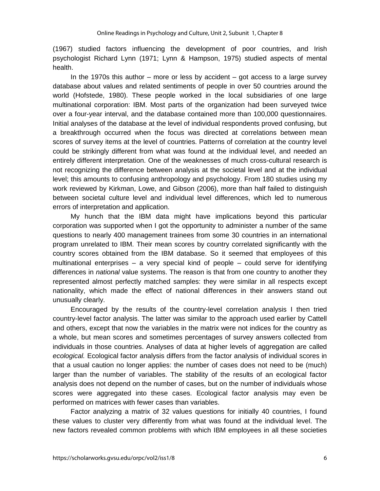(1967) studied factors influencing the development of poor countries, and Irish psychologist Richard Lynn (1971; Lynn & Hampson, 1975) studied aspects of mental health.

In the 1970s this author – more or less by accident – got access to a large survey database about values and related sentiments of people in over 50 countries around the world (Hofstede, 1980). These people worked in the local subsidiaries of one large multinational corporation: IBM. Most parts of the organization had been surveyed twice over a four-year interval, and the database contained more than 100,000 questionnaires. Initial analyses of the database at the level of individual respondents proved confusing, but a breakthrough occurred when the focus was directed at correlations between mean scores of survey items at the level of countries. Patterns of correlation at the country level could be strikingly different from what was found at the individual level, and needed an entirely different interpretation. One of the weaknesses of much cross-cultural research is not recognizing the difference between analysis at the societal level and at the individual level; this amounts to confusing anthropology and psychology. From 180 studies using my work reviewed by Kirkman, Lowe, and Gibson (2006), more than half failed to distinguish between societal culture level and individual level differences, which led to numerous errors of interpretation and application.

My hunch that the IBM data might have implications beyond this particular corporation was supported when I got the opportunity to administer a number of the same questions to nearly 400 management trainees from some 30 countries in an international program unrelated to IBM. Their mean scores by country correlated significantly with the country scores obtained from the IBM database. So it seemed that employees of this multinational enterprises – a very special kind of people – could serve for identifying differences in *national* value systems. The reason is that from one country to another they represented almost perfectly matched samples: they were similar in all respects except nationality, which made the effect of national differences in their answers stand out unusually clearly.

Encouraged by the results of the country-level correlation analysis I then tried country-level factor analysis. The latter was similar to the approach used earlier by Cattell and others, except that now the variables in the matrix were not indices for the country as a whole, but mean scores and sometimes percentages of survey answers collected from individuals in those countries. Analyses of data at higher levels of aggregation are called *ecological.* Ecological factor analysis differs from the factor analysis of individual scores in that a usual caution no longer applies: the number of cases does not need to be (much) larger than the number of variables. The stability of the results of an ecological factor analysis does not depend on the number of cases, but on the number of individuals whose scores were aggregated into these cases. Ecological factor analysis may even be performed on matrices with fewer cases than variables.

Factor analyzing a matrix of 32 values questions for initially 40 countries, I found these values to cluster very differently from what was found at the individual level. The new factors revealed common problems with which IBM employees in all these societies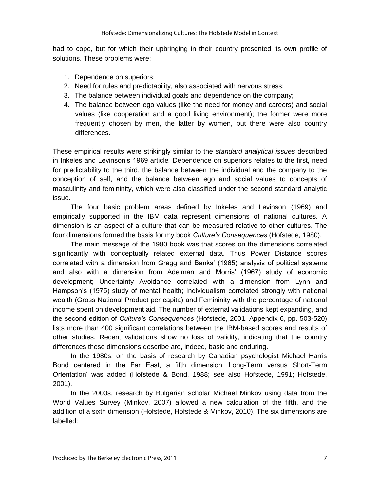had to cope, but for which their upbringing in their country presented its own profile of solutions. These problems were:

- 1. Dependence on superiors;
- 2. Need for rules and predictability, also associated with nervous stress;
- 3. The balance between individual goals and dependence on the company;
- 4. The balance between ego values (like the need for money and careers) and social values (like cooperation and a good living environment); the former were more frequently chosen by men, the latter by women, but there were also country differences.

These empirical results were strikingly similar to the *standard analytical issues* described in Inkeles and Levinson's 1969 article*.* Dependence on superiors relates to the first, need for predictability to the third, the balance between the individual and the company to the conception of self, and the balance between ego and social values to concepts of masculinity and femininity, which were also classified under the second standard analytic issue.

The four basic problem areas defined by Inkeles and Levinson (1969) and empirically supported in the IBM data represent dimensions of national cultures. A dimension is an aspect of a culture that can be measured relative to other cultures. The four dimensions formed the basis for my book *Culture's Consequences* (Hofstede, 1980).

The main message of the 1980 book was that scores on the dimensions correlated significantly with conceptually related external data. Thus Power Distance scores correlated with a dimension from Gregg and Banks' (1965) analysis of political systems and also with a dimension from Adelman and Morris' (1967) study of economic development; Uncertainty Avoidance correlated with a dimension from Lynn and Hampson's (1975) study of mental health; Individualism correlated strongly with national wealth (Gross National Product per capita) and Femininity with the percentage of national income spent on development aid. The number of external validations kept expanding, and the second edition of *Culture's Consequences* (Hofstede, 2001, Appendix 6, pp. 503-520) lists more than 400 significant correlations between the IBM-based scores and results of other studies. Recent validations show no loss of validity, indicating that the country differences these dimensions describe are, indeed, basic and enduring.

In the 1980s, on the basis of research by Canadian psychologist Michael Harris Bond centered in the Far East, a fifth dimension 'Long-Term versus Short-Term Orientation' was added (Hofstede & Bond, 1988; see also Hofstede, 1991; Hofstede, 2001).

In the 2000s, research by Bulgarian scholar Michael Minkov using data from the World Values Survey (Minkov, 2007) allowed a new calculation of the fifth, and the addition of a sixth dimension (Hofstede, Hofstede & Minkov, 2010). The six dimensions are labelled: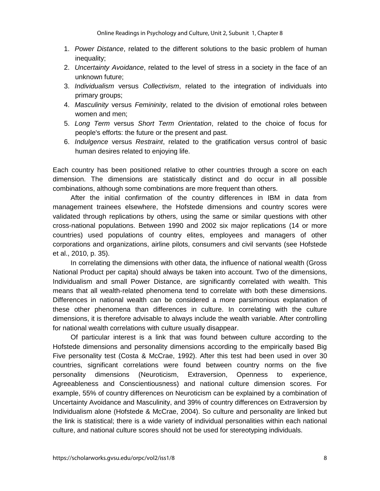- 1. *Power Distance*, related to the different solutions to the basic problem of human inequality;
- 2. *Uncertainty Avoidance*, related to the level of stress in a society in the face of an unknown future;
- 3. *Individualism* versus *Collectivism*, related to the integration of individuals into primary groups;
- 4. *Masculinity* versus *Femininity*, related to the division of emotional roles between women and men;
- 5. *Long Term* versus *Short Term Orientation*, related to the choice of focus for people's efforts: the future or the present and past.
- 6. *Indulgence* versus *Restraint*, related to the gratification versus control of basic human desires related to enjoying life.

Each country has been positioned relative to other countries through a score on each dimension. The dimensions are statistically distinct and do occur in all possible combinations, although some combinations are more frequent than others.

After the initial confirmation of the country differences in IBM in data from management trainees elsewhere, the Hofstede dimensions and country scores were validated through replications by others, using the same or similar questions with other cross-national populations. Between 1990 and 2002 six major replications (14 or more countries) used populations of country elites, employees and managers of other corporations and organizations, airline pilots, consumers and civil servants (see Hofstede et al., 2010, p. 35).

In correlating the dimensions with other data, the influence of national wealth (Gross National Product per capita) should always be taken into account. Two of the dimensions, Individualism and small Power Distance, are significantly correlated with wealth. This means that all wealth-related phenomena tend to correlate with both these dimensions. Differences in national wealth can be considered a more parsimonious explanation of these other phenomena than differences in culture. In correlating with the culture dimensions, it is therefore advisable to always include the wealth variable. After controlling for national wealth correlations with culture usually disappear.

Of particular interest is a link that was found between culture according to the Hofstede dimensions and personality dimensions according to the empirically based Big Five personality test (Costa & McCrae, 1992). After this test had been used in over 30 countries, significant correlations were found between country norms on the five personality dimensions (Neuroticism, Extraversion, Openness to experience, Agreeableness and Conscientiousness) and national culture dimension scores. For example, 55% of country differences on Neuroticism can be explained by a combination of Uncertainty Avoidance and Masculinity, and 39% of country differences on Extraversion by Individualism alone (Hofstede & McCrae, 2004). So culture and personality are linked but the link is statistical; there is a wide variety of individual personalities within each national culture, and national culture scores should not be used for stereotyping individuals.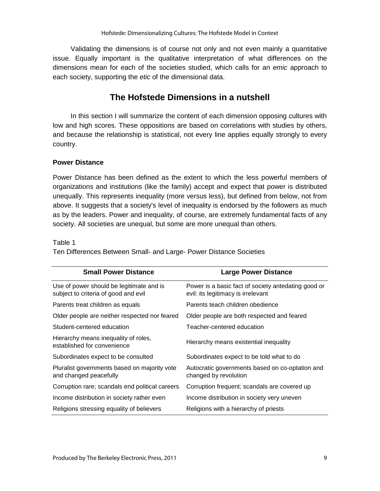Validating the dimensions is of course not only and not even mainly a quantitative issue. Equally important is the qualitative interpretation of what differences on the dimensions mean for each of the societies studied, which calls for an *emic* approach to each society, supporting the *etic* of the dimensional data.

### **The Hofstede Dimensions in a nutshell**

In this section I will summarize the content of each dimension opposing cultures with low and high scores. These oppositions are based on correlations with studies by others, and because the relationship is statistical, not every line applies equally strongly to every country.

#### **Power Distance**

Power Distance has been defined as the extent to which the less powerful members of organizations and institutions (like the family) accept and expect that power is distributed unequally. This represents inequality (more versus less), but defined from below, not from above. It suggests that a society's level of inequality is endorsed by the followers as much as by the leaders. Power and inequality, of course, are extremely fundamental facts of any society. All societies are unequal, but some are more unequal than others.

#### Table 1

Ten Differences Between Small- and Large- Power Distance Societies

| <b>Small Power Distance</b>                                                      | <b>Large Power Distance</b>                                                               |
|----------------------------------------------------------------------------------|-------------------------------------------------------------------------------------------|
| Use of power should be legitimate and is<br>subject to criteria of good and evil | Power is a basic fact of society antedating good or<br>evil: its legitimacy is irrelevant |
| Parents treat children as equals                                                 | Parents teach children obedience                                                          |
| Older people are neither respected nor feared                                    | Older people are both respected and feared                                                |
| Student-centered education                                                       | Teacher-centered education                                                                |
| Hierarchy means inequality of roles,<br>established for convenience              | Hierarchy means existential inequality                                                    |
| Subordinates expect to be consulted                                              | Subordinates expect to be told what to do                                                 |
| Pluralist governments based on majority vote<br>and changed peacefully           | Autocratic governments based on co-optation and<br>changed by revolution                  |
| Corruption rare; scandals end political careers                                  | Corruption frequent; scandals are covered up                                              |
| Income distribution in society rather even                                       | Income distribution in society very uneven                                                |
| Religions stressing equality of believers                                        | Religions with a hierarchy of priests                                                     |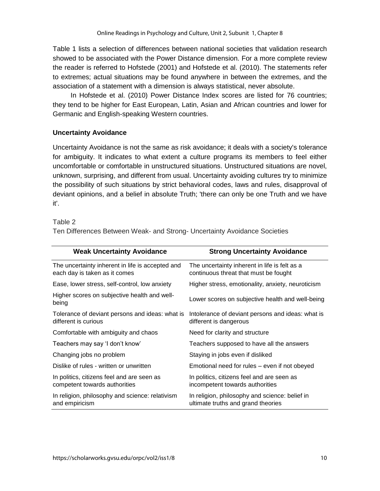Table 1 lists a selection of differences between national societies that validation research showed to be associated with the Power Distance dimension. For a more complete review the reader is referred to Hofstede (2001) and Hofstede et al. (2010). The statements refer to extremes; actual situations may be found anywhere in between the extremes, and the association of a statement with a dimension is always statistical, never absolute.

In Hofstede et al. (2010) Power Distance Index scores are listed for 76 countries; they tend to be higher for East European, Latin, Asian and African countries and lower for Germanic and English-speaking Western countries.

#### **Uncertainty Avoidance**

Uncertainty Avoidance is not the same as risk avoidance; it deals with a society's tolerance for ambiguity. It indicates to what extent a culture programs its members to feel either uncomfortable or comfortable in unstructured situations. Unstructured situations are novel, unknown, surprising, and different from usual. Uncertainty avoiding cultures try to minimize the possibility of such situations by strict behavioral codes, laws and rules, disapproval of deviant opinions, and a belief in absolute Truth; 'there can only be one Truth and we have it'.

#### Table 2

| <b>Weak Uncertainty Avoidance</b>                                                 | <b>Strong Uncertainty Avoidance</b>                                                    |
|-----------------------------------------------------------------------------------|----------------------------------------------------------------------------------------|
| The uncertainty inherent in life is accepted and<br>each day is taken as it comes | The uncertainty inherent in life is felt as a<br>continuous threat that must be fought |
| Ease, lower stress, self-control, low anxiety                                     | Higher stress, emotionality, anxiety, neuroticism                                      |
| Higher scores on subjective health and well-<br>being                             | Lower scores on subjective health and well-being                                       |
| Tolerance of deviant persons and ideas: what is<br>different is curious           | Intolerance of deviant persons and ideas: what is<br>different is dangerous            |
| Comfortable with ambiguity and chaos                                              | Need for clarity and structure                                                         |
| Teachers may say 'I don't know'                                                   | Teachers supposed to have all the answers                                              |
| Changing jobs no problem                                                          | Staying in jobs even if disliked                                                       |
| Dislike of rules - written or unwritten                                           | Emotional need for rules – even if not obeyed                                          |
| In politics, citizens feel and are seen as<br>competent towards authorities       | In politics, citizens feel and are seen as<br>incompetent towards authorities          |
| In religion, philosophy and science: relativism<br>and empiricism                 | In religion, philosophy and science: belief in<br>ultimate truths and grand theories   |

Ten Differences Between Weak- and Strong- Uncertainty Avoidance Societies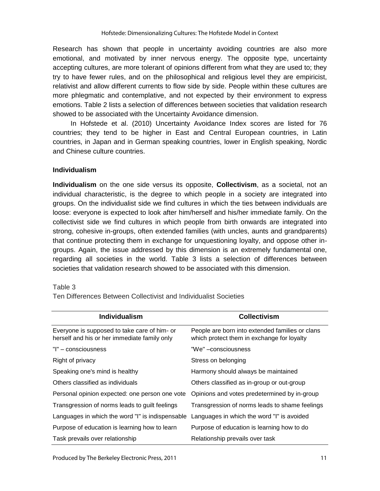Research has shown that people in uncertainty avoiding countries are also more emotional, and motivated by inner nervous energy. The opposite type, uncertainty accepting cultures, are more tolerant of opinions different from what they are used to; they try to have fewer rules, and on the philosophical and religious level they are empiricist, relativist and allow different currents to flow side by side. People within these cultures are more phlegmatic and contemplative, and not expected by their environment to express emotions. Table 2 lists a selection of differences between societies that validation research showed to be associated with the Uncertainty Avoidance dimension.

In Hofstede et al. (2010) Uncertainty Avoidance Index scores are listed for 76 countries; they tend to be higher in East and Central European countries, in Latin countries, in Japan and in German speaking countries, lower in English speaking, Nordic and Chinese culture countries.

#### **Individualism**

**Individualism** on the one side versus its opposite, **Collectivism**, as a societal, not an individual characteristic, is the degree to which people in a society are integrated into groups. On the individualist side we find cultures in which the ties between individuals are loose: everyone is expected to look after him/herself and his/her immediate family. On the collectivist side we find cultures in which people from birth onwards are integrated into strong, cohesive in-groups, often extended families (with uncles, aunts and grandparents) that continue protecting them in exchange for unquestioning loyalty, and oppose other ingroups. Again, the issue addressed by this dimension is an extremely fundamental one, regarding all societies in the world. Table 3 lists a selection of differences between societies that validation research showed to be associated with this dimension.

#### Table 3

Ten Differences Between Collectivist and Individualist Societies

| <b>Individualism</b>                                                                         | <b>Collectivism</b>                                                                           |
|----------------------------------------------------------------------------------------------|-----------------------------------------------------------------------------------------------|
| Everyone is supposed to take care of him- or<br>herself and his or her immediate family only | People are born into extended families or clans<br>which protect them in exchange for loyalty |
| "I" - consciousness                                                                          | "We" - consciousness                                                                          |
| Right of privacy                                                                             | Stress on belonging                                                                           |
| Speaking one's mind is healthy                                                               | Harmony should always be maintained                                                           |
| Others classified as individuals                                                             | Others classified as in-group or out-group                                                    |
| Personal opinion expected: one person one vote                                               | Opinions and votes predetermined by in-group                                                  |
| Transgression of norms leads to guilt feelings                                               | Transgression of norms leads to shame feelings                                                |
| Languages in which the word "I" is indispensable                                             | Languages in which the word "I" is avoided                                                    |
| Purpose of education is learning how to learn                                                | Purpose of education is learning how to do                                                    |
| Task prevails over relationship                                                              | Relationship prevails over task                                                               |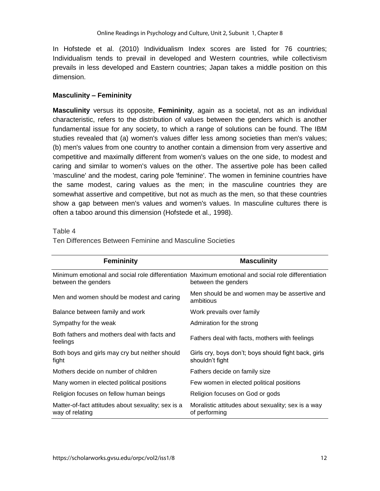In Hofstede et al. (2010) Individualism Index scores are listed for 76 countries; Individualism tends to prevail in developed and Western countries, while collectivism prevails in less developed and Eastern countries; Japan takes a middle position on this dimension.

#### **Masculinity – Femininity**

**Masculinity** versus its opposite, **Femininity**, again as a societal, not as an individual characteristic, refers to the distribution of values between the genders which is another fundamental issue for any society, to which a range of solutions can be found. The IBM studies revealed that (a) women's values differ less among societies than men's values; (b) men's values from one country to another contain a dimension from very assertive and competitive and maximally different from women's values on the one side, to modest and caring and similar to women's values on the other. The assertive pole has been called 'masculine' and the modest, caring pole 'feminine'. The women in feminine countries have the same modest, caring values as the men; in the masculine countries they are somewhat assertive and competitive, but not as much as the men, so that these countries show a gap between men's values and women's values. In masculine cultures there is often a taboo around this dimension (Hofstede et al*.,* 1998).

Table 4

Ten Differences Between Feminine and Masculine Societies

| <b>Femininity</b>                                                     | <b>Masculinity</b>                                                                                                         |
|-----------------------------------------------------------------------|----------------------------------------------------------------------------------------------------------------------------|
| between the genders                                                   | Minimum emotional and social role differentiation Maximum emotional and social role differentiation<br>between the genders |
| Men and women should be modest and caring                             | Men should be and women may be assertive and<br>ambitious                                                                  |
| Balance between family and work                                       | Work prevails over family                                                                                                  |
| Sympathy for the weak                                                 | Admiration for the strong                                                                                                  |
| Both fathers and mothers deal with facts and<br>feelings              | Fathers deal with facts, mothers with feelings                                                                             |
| Both boys and girls may cry but neither should<br>fight               | Girls cry, boys don't; boys should fight back, girls<br>shouldn't fight                                                    |
| Mothers decide on number of children                                  | Fathers decide on family size                                                                                              |
| Many women in elected political positions                             | Few women in elected political positions                                                                                   |
| Religion focuses on fellow human beings                               | Religion focuses on God or gods                                                                                            |
| Matter-of-fact attitudes about sexuality; sex is a<br>way of relating | Moralistic attitudes about sexuality; sex is a way<br>of performing                                                        |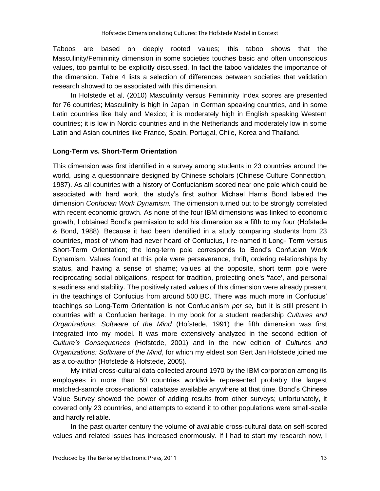Taboos are based on deeply rooted values; this taboo shows that the Masculinity/Femininity dimension in some societies touches basic and often unconscious values, too painful to be explicitly discussed. In fact the taboo validates the importance of the dimension. Table 4 lists a selection of differences between societies that validation research showed to be associated with this dimension.

In Hofstede et al. (2010) Masculinity versus Femininity Index scores are presented for 76 countries; Masculinity is high in Japan, in German speaking countries, and in some Latin countries like Italy and Mexico; it is moderately high in English speaking Western countries; it is low in Nordic countries and in the Netherlands and moderately low in some Latin and Asian countries like France, Spain, Portugal, Chile, Korea and Thailand.

#### **Long-Term vs. Short-Term Orientation**

This dimension was first identified in a survey among students in 23 countries around the world, using a questionnaire designed by Chinese scholars (Chinese Culture Connection, 1987). As all countries with a history of Confucianism scored near one pole which could be associated with hard work, the study's first author Michael Harris Bond labeled the dimension *Confucian Work Dynamism.* The dimension turned out to be strongly correlated with recent economic growth. As none of the four IBM dimensions was linked to economic growth, I obtained Bond's permission to add his dimension as a fifth to my four (Hofstede & Bond, 1988). Because it had been identified in a study comparing students from 23 countries, most of whom had never heard of Confucius, I re-named it Long- Term versus Short-Term Orientation; the long-term pole corresponds to Bond's Confucian Work Dynamism. Values found at this pole were perseverance, thrift, ordering relationships by status, and having a sense of shame; values at the opposite, short term pole were reciprocating social obligations, respect for tradition, protecting one's 'face', and personal steadiness and stability. The positively rated values of this dimension were already present in the teachings of Confucius from around 500 BC. There was much more in Confucius' teachings so Long-Term Orientation is not Confucianism *per se,* but it is still present in countries with a Confucian heritage. In my book for a student readership *Cultures and Organizations: Software of the Mind* (Hofstede, 1991) the fifth dimension was first integrated into my model. It was more extensively analyzed in the second edition of *Culture's Consequences* (Hofstede, 2001) and in the new edition of *Cultures and Organizations: Software of the Mind*, for which my eldest son Gert Jan Hofstede joined me as a co-author (Hofstede & Hofstede, 2005).

My initial cross-cultural data collected around 1970 by the IBM corporation among its employees in more than 50 countries worldwide represented probably the largest matched-sample cross-national database available anywhere at that time. Bond's Chinese Value Survey showed the power of adding results from other surveys; unfortunately, it covered only 23 countries, and attempts to extend it to other populations were small-scale and hardly reliable.

In the past quarter century the volume of available cross-cultural data on self-scored values and related issues has increased enormously. If I had to start my research now, I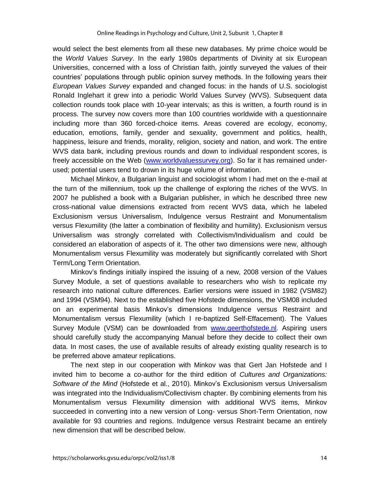would select the best elements from all these new databases. My prime choice would be the *World Values Survey*. In the early 1980s departments of Divinity at six European Universities, concerned with a loss of Christian faith, jointly surveyed the values of their countries' populations through public opinion survey methods. In the following years their *European Values Survey* expanded and changed focus: in the hands of U.S. sociologist Ronald Inglehart it grew into a periodic World Values Survey (WVS). Subsequent data collection rounds took place with 10-year intervals; as this is written, a fourth round is in process. The survey now covers more than 100 countries worldwide with a questionnaire including more than 360 forced-choice items. Areas covered are ecology, economy, education, emotions, family, gender and sexuality, government and politics, health, happiness, leisure and friends, morality, religion, society and nation, and work. The entire WVS data bank, including previous rounds and down to individual respondent scores, is freely accessible on the Web [\(www.worldvaluessurvey.org\)](http://www.worldvaluessurvey.org/). So far it has remained underused; potential users tend to drown in its huge volume of information.

Michael Minkov, a Bulgarian linguist and sociologist whom I had met on the e-mail at the turn of the millennium, took up the challenge of exploring the riches of the WVS. In 2007 he published a book with a Bulgarian publisher, in which he described three new cross-national value dimensions extracted from recent WVS data, which he labeled Exclusionism versus Universalism, Indulgence versus Restraint and Monumentalism versus Flexumility (the latter a combination of flexibility and humility). Exclusionism versus Universalism was strongly correlated with Collectivism/Individualism and could be considered an elaboration of aspects of it. The other two dimensions were new, although Monumentalism versus Flexumility was moderately but significantly correlated with Short Term/Long Term Orientation.

Minkov's findings initially inspired the issuing of a new, 2008 version of the Values Survey Module, a set of questions available to researchers who wish to replicate my research into national culture differences. Earlier versions were issued in 1982 (VSM82) and 1994 (VSM94). Next to the established five Hofstede dimensions, the VSM08 included on an experimental basis Minkov's dimensions Indulgence versus Restraint and Monumentalism versus Flexumility (which I re-baptized Self-Effacement). The Values Survey Module (VSM) can be downloaded from [www.geerthofstede.nl.](http://www.geerthofstede.nl/) Aspiring users should carefully study the accompanying Manual before they decide to collect their own data. In most cases, the use of available results of already existing quality research is to be preferred above amateur replications.

The next step in our cooperation with Minkov was that Gert Jan Hofstede and I invited him to become a co-author for the third edition of *Cultures and Organizations: Software of the Mind* (Hofstede et al., 2010). Minkov's Exclusionism versus Universalism was integrated into the Individualism/Collectivism chapter. By combining elements from his Monumentalism versus Flexumility dimension with additional WVS items, Minkov succeeded in converting into a new version of Long- versus Short-Term Orientation, now available for 93 countries and regions. Indulgence versus Restraint became an entirely new dimension that will be described below.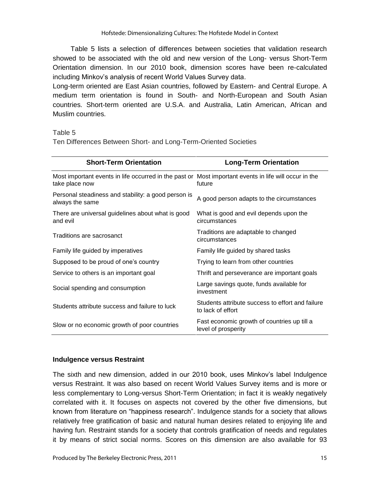Hofstede: Dimensionalizing Cultures: The Hofstede Model in Context

Table 5 lists a selection of differences between societies that validation research showed to be associated with the old and new version of the Long- versus Short-Term Orientation dimension. In our 2010 book, dimension scores have been re-calculated including Minkov's analysis of recent World Values Survey data.

Long-term oriented are East Asian countries, followed by Eastern- and Central Europe. A medium term orientation is found in South- and North-European and South Asian countries. Short-term oriented are U.S.A. and Australia, Latin American, African and Muslim countries.

#### Table 5

Ten Differences Between Short- and Long-Term-Oriented Societies

| <b>Short-Term Orientation</b>                                                                                           | <b>Long-Term Orientation</b>                                          |
|-------------------------------------------------------------------------------------------------------------------------|-----------------------------------------------------------------------|
| Most important events in life occurred in the past or Most important events in life will occur in the<br>take place now | future                                                                |
| Personal steadiness and stability: a good person is<br>always the same                                                  | A good person adapts to the circumstances                             |
| There are universal guidelines about what is good<br>and evil                                                           | What is good and evil depends upon the<br>circumstances               |
| Traditions are sacrosanct                                                                                               | Traditions are adaptable to changed<br>circumstances                  |
| Family life guided by imperatives                                                                                       | Family life guided by shared tasks                                    |
| Supposed to be proud of one's country                                                                                   | Trying to learn from other countries                                  |
| Service to others is an important goal                                                                                  | Thrift and perseverance are important goals                           |
| Social spending and consumption                                                                                         | Large savings quote, funds available for<br>investment                |
| Students attribute success and failure to luck                                                                          | Students attribute success to effort and failure<br>to lack of effort |
| Slow or no economic growth of poor countries                                                                            | Fast economic growth of countries up till a<br>level of prosperity    |

#### **Indulgence versus Restraint**

The sixth and new dimension, added in our 2010 book, uses Minkov's label Indulgence versus Restraint. It was also based on recent World Values Survey items and is more or less complementary to Long-versus Short-Term Orientation; in fact it is weakly negatively correlated with it. It focuses on aspects not covered by the other five dimensions, but known from literature on "happiness research". Indulgence stands for a society that allows relatively free gratification of basic and natural human desires related to enjoying life and having fun. Restraint stands for a society that controls gratification of needs and regulates it by means of strict social norms. Scores on this dimension are also available for 93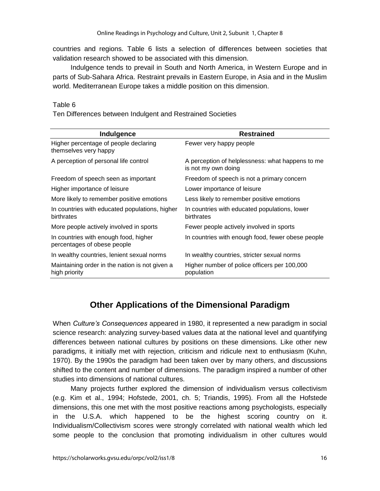countries and regions. Table 6 lists a selection of differences between societies that validation research showed to be associated with this dimension.

Indulgence tends to prevail in South and North America, in Western Europe and in parts of Sub-Sahara Africa. Restraint prevails in Eastern Europe, in Asia and in the Muslim world. Mediterranean Europe takes a middle position on this dimension.

#### Table 6

Ten Differences between Indulgent and Restrained Societies

| Indulgence                                                           | <b>Restrained</b>                                                       |
|----------------------------------------------------------------------|-------------------------------------------------------------------------|
| Higher percentage of people declaring<br>themselves very happy       | Fewer very happy people                                                 |
| A perception of personal life control                                | A perception of helplessness: what happens to me<br>is not my own doing |
| Freedom of speech seen as important                                  | Freedom of speech is not a primary concern                              |
| Higher importance of leisure                                         | Lower importance of leisure                                             |
| More likely to remember positive emotions                            | Less likely to remember positive emotions                               |
| In countries with educated populations, higher<br>birthrates         | In countries with educated populations, lower<br>birthrates             |
| More people actively involved in sports                              | Fewer people actively involved in sports                                |
| In countries with enough food, higher<br>percentages of obese people | In countries with enough food, fewer obese people                       |
| In wealthy countries, lenient sexual norms                           | In wealthy countries, stricter sexual norms                             |
| Maintaining order in the nation is not given a<br>high priority      | Higher number of police officers per 100,000<br>population              |

### **Other Applications of the Dimensional Paradigm**

When *Culture's Consequences* appeared in 1980, it represented a new paradigm in social science research: analyzing survey-based values data at the national level and quantifying differences between national cultures by positions on these dimensions. Like other new paradigms, it initially met with rejection, criticism and ridicule next to enthusiasm (Kuhn, 1970). By the 1990s the paradigm had been taken over by many others, and discussions shifted to the content and number of dimensions. The paradigm inspired a number of other studies into dimensions of national cultures.

Many projects further explored the dimension of individualism versus collectivism (e.g. Kim et al., 1994; Hofstede, 2001, ch. 5; Triandis, 1995). From all the Hofstede dimensions, this one met with the most positive reactions among psychologists, especially in the U.S.A. which happened to be the highest scoring country on it. Individualism/Collectivism scores were strongly correlated with national wealth which led some people to the conclusion that promoting individualism in other cultures would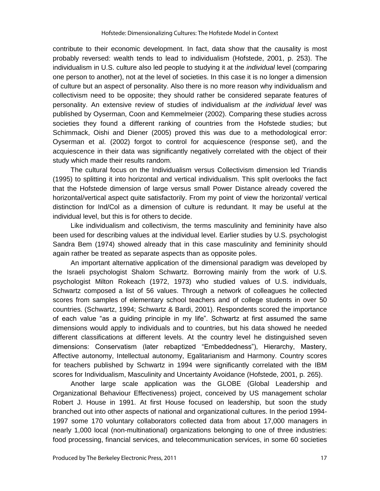contribute to their economic development. In fact, data show that the causality is most probably reversed: wealth tends to lead to individualism (Hofstede, 2001, p. 253). The individualism in U.S. culture also led people to studying it at the *individual* level (comparing one person to another), not at the level of societies. In this case it is no longer a dimension of culture but an aspect of personality. Also there is no more reason why individualism and collectivism need to be opposite; they should rather be considered separate features of personality. An extensive review of studies of individualism *at the individual level* was published by Oyserman, Coon and Kemmelmeier (2002). Comparing these studies across societies they found a different ranking of countries from the Hofstede studies; but Schimmack, Oishi and Diener (2005) proved this was due to a methodological error: Oyserman et al. (2002) forgot to control for acquiescence (response set), and the acquiescence in their data was significantly negatively correlated with the object of their study which made their results random.

The cultural focus on the Individualism versus Collectivism dimension led Triandis (1995) to splitting it into horizontal and vertical individualism. This split overlooks the fact that the Hofstede dimension of large versus small Power Distance already covered the horizontal/vertical aspect quite satisfactorily. From my point of view the horizontal/ vertical distinction for Ind/Col as a dimension of culture is redundant. It may be useful at the individual level, but this is for others to decide.

Like individualism and collectivism, the terms masculinity and femininity have also been used for describing values at the individual level. Earlier studies by U.S. psychologist Sandra Bem (1974) showed already that in this case masculinity and femininity should again rather be treated as separate aspects than as opposite poles.

An important alternative application of the dimensional paradigm was developed by the Israeli psychologist Shalom Schwartz. Borrowing mainly from the work of U.S. psychologist Milton Rokeach (1972, 1973) who studied values of U.S. individuals, Schwartz composed a list of 56 values. Through a network of colleagues he collected scores from samples of elementary school teachers and of college students in over 50 countries. (Schwartz, 1994; Schwartz & Bardi, 2001). Respondents scored the importance of each value "as a guiding principle in my life". Schwartz at first assumed the same dimensions would apply to individuals and to countries, but his data showed he needed different classifications at different levels. At the country level he distinguished seven dimensions: Conservatism (later rebaptized "Embeddedness"), Hierarchy, Mastery, Affective autonomy, Intellectual autonomy, Egalitarianism and Harmony. Country scores for teachers published by Schwartz in 1994 were significantly correlated with the IBM scores for Individualism, Masculinity and Uncertainty Avoidance (Hofstede, 2001, p. 265).

Another large scale application was the GLOBE (Global Leadership and Organizational Behaviour Effectiveness) project, conceived by US management scholar Robert J. House in 1991. At first House focused on leadership, but soon the study branched out into other aspects of national and organizational cultures. In the period 1994- 1997 some 170 voluntary collaborators collected data from about 17,000 managers in nearly 1,000 local (non-multinational) organizations belonging to one of three industries: food processing, financial services, and telecommunication services, in some 60 societies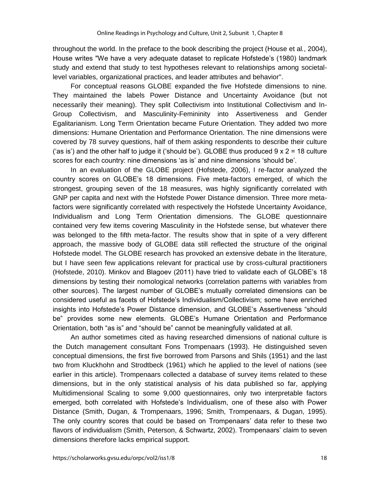throughout the world. In the preface to the book describing the project (House et al*.*, 2004), House writes "We have a very adequate dataset to replicate Hofstede's (1980) landmark study and extend that study to test hypotheses relevant to relationships among societallevel variables, organizational practices, and leader attributes and behavior".

For conceptual reasons GLOBE expanded the five Hofstede dimensions to nine. They maintained the labels Power Distance and Uncertainty Avoidance (but not necessarily their meaning). They split Collectivism into Institutional Collectivism and In-Group Collectivism, and Masculinity-Femininity into Assertiveness and Gender Egalitarianism. Long Term Orientation became Future Orientation. They added two more dimensions: Humane Orientation and Performance Orientation. The nine dimensions were covered by 78 survey questions, half of them asking respondents to describe their culture ('as is') and the other half to judge it ('should be'). GLOBE thus produced  $9 \times 2 = 18$  culture scores for each country: nine dimensions 'as is' and nine dimensions 'should be'.

In an evaluation of the GLOBE project (Hofstede, 2006), I re-factor analyzed the country scores on GLOBE's 18 dimensions. Five meta-factors emerged, of which the strongest, grouping seven of the 18 measures, was highly significantly correlated with GNP per capita and next with the Hofstede Power Distance dimension. Three more metafactors were significantly correlated with respectively the Hofstede Uncertainty Avoidance, Individualism and Long Term Orientation dimensions. The GLOBE questionnaire contained very few items covering Masculinity in the Hofstede sense, but whatever there was belonged to the fifth meta-factor. The results show that in spite of a very different approach, the massive body of GLOBE data still reflected the structure of the original Hofstede model. The GLOBE research has provoked an extensive debate in the literature, but I have seen few applications relevant for practical use by cross-cultural practitioners (Hofstede, 2010). Minkov and Blagoev (2011) have tried to validate each of GLOBE's 18 dimensions by testing their nomological networks (correlation patterns with variables from other sources). The largest number of GLOBE's mutually correlated dimensions can be considered useful as facets of Hofstede's Individualism/Collectivism; some have enriched insights into Hofstede's Power Distance dimension, and GLOBE's Assertiveness "should be" provides some new elements. GLOBE's Humane Orientation and Performance Orientation, both "as is" and "should be" cannot be meaningfully validated at all.

An author sometimes cited as having researched dimensions of national culture is the Dutch management consultant Fons Trompenaars (1993). He distinguished seven conceptual dimensions, the first five borrowed from Parsons and Shils (1951) and the last two from Kluckhohn and Strodtbeck (1961) which he applied to the level of nations (see earlier in this article). Trompenaars collected a database of survey items related to these dimensions, but in the only statistical analysis of his data published so far, applying Multidimensional Scaling to some 9,000 questionnaires, only two interpretable factors emerged, both correlated with Hofstede's Individualism, one of these also with Power Distance (Smith, Dugan, & Trompenaars, 1996; Smith, Trompenaars, & Dugan, 1995). The only country scores that could be based on Trompenaars' data refer to these two flavors of individualism (Smith, Peterson, & Schwartz, 2002). Trompenaars' claim to seven dimensions therefore lacks empirical support.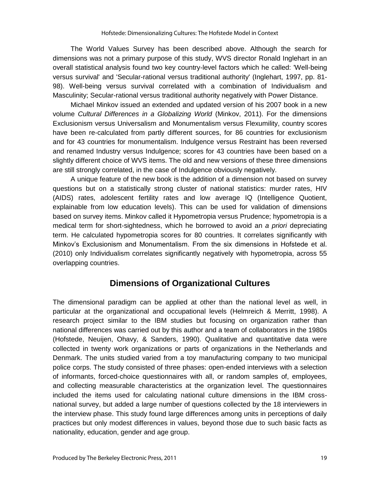The World Values Survey has been described above. Although the search for dimensions was not a primary purpose of this study, WVS director Ronald Inglehart in an overall statistical analysis found two key country-level factors which he called: 'Well-being versus survival' and 'Secular-rational versus traditional authority' (Inglehart, 1997, pp. 81- 98). Well-being versus survival correlated with a combination of Individualism and Masculinity; Secular-rational versus traditional authority negatively with Power Distance.

Michael Minkov issued an extended and updated version of his 2007 book in a new volume *Cultural Differences in a Globalizing World* (Minkov, 2011). For the dimensions Exclusionism versus Universalism and Monumentalism versus Flexumility, country scores have been re-calculated from partly different sources, for 86 countries for exclusionism and for 43 countries for monumentalism. Indulgence versus Restraint has been reversed and renamed Industry versus Indulgence; scores for 43 countries have been based on a slightly different choice of WVS items. The old and new versions of these three dimensions are still strongly correlated, in the case of Indulgence obviously negatively.

A unique feature of the new book is the addition of a dimension not based on survey questions but on a statistically strong cluster of national statistics: murder rates, HIV (AIDS) rates, adolescent fertility rates and low average IQ (Intelligence Quotient, explainable from low education levels). This can be used for validation of dimensions based on survey items. Minkov called it Hypometropia versus Prudence; hypometropia is a medical term for short-sightedness, which he borrowed to avoid an *a priori* depreciating term. He calculated hypometropia scores for 80 countries. It correlates significantly with Minkov's Exclusionism and Monumentalism. From the six dimensions in Hofstede et al. (2010) only Individualism correlates significantly negatively with hypometropia, across 55 overlapping countries.

### **Dimensions of Organizational Cultures**

The dimensional paradigm can be applied at other than the national level as well, in particular at the organizational and occupational levels (Helmreich & Merritt, 1998). A research project similar to the IBM studies but focusing on organization rather than national differences was carried out by this author and a team of collaborators in the 1980s (Hofstede, Neuijen, Ohavy, & Sanders, 1990). Qualitative and quantitative data were collected in twenty work organizations or parts of organizations in the Netherlands and Denmark. The units studied varied from a toy manufacturing company to two municipal police corps. The study consisted of three phases: open-ended interviews with a selection of informants, forced-choice questionnaires with all, or random samples of, employees, and collecting measurable characteristics at the organization level. The questionnaires included the items used for calculating national culture dimensions in the IBM crossnational survey, but added a large number of questions collected by the 18 interviewers in the interview phase. This study found large differences among units in perceptions of daily practices but only modest differences in values, beyond those due to such basic facts as nationality, education, gender and age group.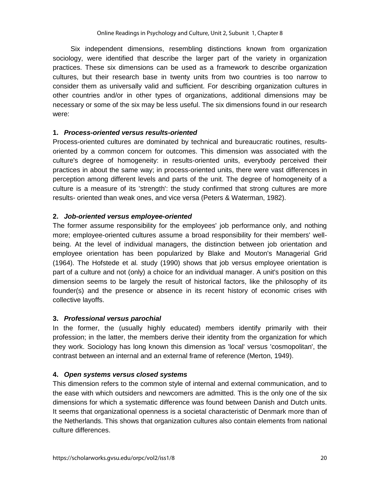Six independent dimensions, resembling distinctions known from organization sociology, were identified that describe the larger part of the variety in organization practices. These six dimensions can be used as a framework to describe organization cultures, but their research base in twenty units from two countries is too narrow to consider them as universally valid and sufficient. For describing organization cultures in other countries and/or in other types of organizations, additional dimensions may be necessary or some of the six may be less useful. The six dimensions found in our research were:

### **1.** *Process-oriented versus results-oriented*

Process-oriented cultures are dominated by technical and bureaucratic routines, resultsoriented by a common concern for outcomes. This dimension was associated with the culture's degree of homogeneity: in results-oriented units, everybody perceived their practices in about the same way; in process-oriented units, there were vast differences in perception among different levels and parts of the unit. The degree of homogeneity of a culture is a measure of its 'strength': the study confirmed that strong cultures are more results- oriented than weak ones, and vice versa (Peters & Waterman, 1982).

### **2.** *Job-oriented versus employee-oriented*

The former assume responsibility for the employees' job performance only, and nothing more; employee-oriented cultures assume a broad responsibility for their members' wellbeing. At the level of individual managers, the distinction between job orientation and employee orientation has been popularized by Blake and Mouton's Managerial Grid (1964). The Hofstede et al*.* study (1990) shows that job versus employee orientation is part of a culture and not (only) a choice for an individual manager. A unit's position on this dimension seems to be largely the result of historical factors, like the philosophy of its founder(s) and the presence or absence in its recent history of economic crises with collective layoffs.

### **3.** *Professional versus parochial*

In the former, the (usually highly educated) members identify primarily with their profession; in the latter, the members derive their identity from the organization for which they work. Sociology has long known this dimension as 'local' versus 'cosmopolitan', the contrast between an internal and an external frame of reference (Merton, 1949).

### **4.** *Open systems versus closed systems*

This dimension refers to the common style of internal and external communication, and to the ease with which outsiders and newcomers are admitted. This is the only one of the six dimensions for which a systematic difference was found between Danish and Dutch units. It seems that organizational openness is a societal characteristic of Denmark more than of the Netherlands. This shows that organization cultures also contain elements from national culture differences.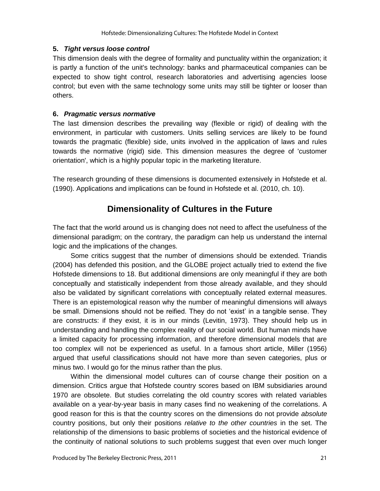#### **5.** *Tight versus loose control*

This dimension deals with the degree of formality and punctuality within the organization; it is partly a function of the unit's technology: banks and pharmaceutical companies can be expected to show tight control, research laboratories and advertising agencies loose control; but even with the same technology some units may still be tighter or looser than others.

### **6.** *Pragmatic versus normative*

The last dimension describes the prevailing way (flexible or rigid) of dealing with the environment, in particular with customers. Units selling services are likely to be found towards the pragmatic (flexible) side, units involved in the application of laws and rules towards the normative (rigid) side. This dimension measures the degree of 'customer orientation', which is a highly popular topic in the marketing literature.

The research grounding of these dimensions is documented extensively in Hofstede et al. (1990). Applications and implications can be found in Hofstede et al. (2010, ch. 10).

# **Dimensionality of Cultures in the Future**

The fact that the world around us is changing does not need to affect the usefulness of the dimensional paradigm; on the contrary, the paradigm can help us understand the internal logic and the implications of the changes.

Some critics suggest that the number of dimensions should be extended. Triandis (2004) has defended this position, and the GLOBE project actually tried to extend the five Hofstede dimensions to 18. But additional dimensions are only meaningful if they are both conceptually and statistically independent from those already available, and they should also be validated by significant correlations with conceptually related external measures. There is an epistemological reason why the number of meaningful dimensions will always be small. Dimensions should not be reified. They do not 'exist' in a tangible sense. They are constructs: if they exist, it is in our minds (Levitin, 1973). They should help us in understanding and handling the complex reality of our social world. But human minds have a limited capacity for processing information, and therefore dimensional models that are too complex will not be experienced as useful. In a famous short article, Miller (1956) argued that useful classifications should not have more than seven categories, plus or minus two. I would go for the minus rather than the plus.

Within the dimensional model cultures can of course change their position on a dimension. Critics argue that Hofstede country scores based on IBM subsidiaries around 1970 are obsolete. But studies correlating the old country scores with related variables available on a year-by-year basis in many cases find no weakening of the correlations. A good reason for this is that the country scores on the dimensions do not provide *absolute* country positions, but only their positions *relative to the other countries* in the set. The relationship of the dimensions to basic problems of societies and the historical evidence of the continuity of national solutions to such problems suggest that even over much longer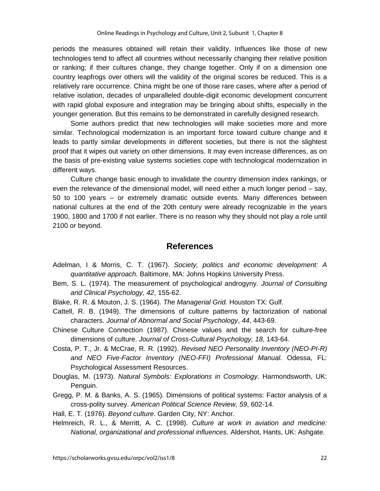periods the measures obtained will retain their validity. Influences like those of new technologies tend to affect all countries without necessarily changing their relative position or ranking; if their cultures change, they change together. Only if on a dimension one country leapfrogs over others will the validity of the original scores be reduced. This is a relatively rare occurrence. China might be one of those rare cases, where after a period of relative isolation, decades of unparalleled double-digit economic development concurrent with rapid global exposure and integration may be bringing about shifts, especially in the younger generation. But this remains to be demonstrated in carefully designed research.

Some authors predict that new technologies will make societies more and more similar. Technological modernization is an important force toward culture change and it leads to partly similar developments in different societies, but there is not the slightest proof that it wipes out variety on other dimensions. It may even increase differences, as on the basis of pre-existing value systems societies cope with technological modernization in different ways.

Culture change basic enough to invalidate the country dimension index rankings, or even the relevance of the dimensional model, will need either a much longer period – say, 50 to 100 years – or extremely dramatic outside events. Many differences between national cultures at the end of the 20th century were already recognizable in the years 1900, 1800 and 1700 if not earlier. There is no reason why they should not play a role until 2100 or beyond.

### **References**

- Adelman, I & Morris, C. T. (1967). *Society, politics and economic development: A quantitative approach.* Baltimore, MA: Johns Hopkins University Press.
- Bem, S. L. (1974). The measurement of psychological androgyny. *Journal of Consulting and Clinical Psychology, 42*, 155-62.
- Blake, R. R. & Mouton, J. S. (1964). *The Managerial Grid.* Houston TX: Gulf.
- Cattell, R. B. (1949). The dimensions of culture patterns by factorization of national characters. *Journal of Abnormal and Social Psychology*, *44*, 443-69.
- Chinese Culture Connection (1987). Chinese values and the search for culture-free dimensions of culture. *Journal of Cross-Cultural Psychology, 18*, 143-64.
- Costa, P. T., Jr. & McCrae, R. R. (1992). *Revised NEO Personality Inventory (NEO-PI-R) and NEO Five-Factor Inventory (NEO-FFI) Professional Manual.* Odessa, FL: Psychological Assessment Resources.
- Douglas, M. (1973). *Natural Symbols: Explorations in Cosmology.* Harmondsworth, UK: Penguin.
- Gregg, P. M. & Banks, A. S. (1965). Dimensions of political systems: Factor analysis of a cross-polity survey. *American Political Science Review, 59*, 602-14.
- Hall, E. T. (1976). *Beyond culture*. Garden City, NY: Anchor.
- Helmreich, R. L., & Merritt, A. C. (1998). *Culture at work in aviation and medicine: National, organizational and professional influences.* Aldershot, Hants, UK: Ashgate.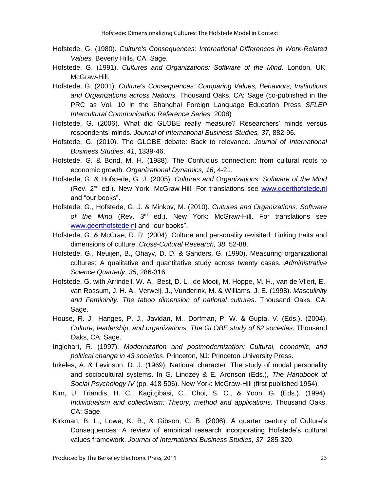- Hofstede, G. (1980). *Culture's Consequences: International Differences in Work-Related Values.* Beverly Hills, CA: Sage.
- Hofstede, G. (1991). *Cultures and Organizations: Software of the Mind*. London, UK: McGraw-Hill.
- Hofstede, G. (2001). *Culture's Consequences: Comparing Values, Behaviors, Institutions and Organizations across Nations.* Thousand Oaks, CA: Sage (co-published in the PRC as Vol. 10 in the Shanghai Foreign Language Education Press *SFLEP Intercultural Communication Reference Series,* 2008)
- Hofstede, G. (2006). What did GLOBE really measure? Researchers' minds versus respondents' minds. *Journal of International Business Studies, 37,* 882-96*.*
- Hofstede, G. (2010). The GLOBE debate: Back to relevance. *Journal of International Business Studies*, *41*, 1339-46.
- Hofstede, G. & Bond, M. H. (1988). The Confucius connection: from cultural roots to economic growth. *Organizational Dynamics, 16*, 4-21.
- Hofstede, G. & Hofstede, G. J. (2005). *Cultures and Organizations: Software of the Mind* (Rev. 2<sup>nd</sup> ed.). New York: McGraw-Hill. For translations see [www.geerthofstede.nl](http://www.geerthofstede.nl/) and "our books".
- Hofstede, G., Hofstede, G. J. & Minkov, M. (2010). *Cultures and Organizations: Software*  of the Mind (Rev. 3<sup>rd</sup> ed.). New York: McGraw-Hill. For translations see [www.geerthofstede.nl](http://www.geerthofstede.nl/) and "our books".
- Hofstede, G. & McCrae, R. R. (2004). Culture and personality revisited: Linking traits and dimensions of culture. *Cross-Cultural Research, 38*, 52-88.
- Hofstede, G., Neuijen, B., Ohayv, D. D. & Sanders, G. (1990). Measuring organizational cultures: A qualitative and quantitative study across twenty cases. *Administrative Science Quarterly*, *35*, 286-316.
- Hofstede, G. with Arrindell, W. A., Best, D. L., de Mooij, M. Hoppe, M. H., van de Vliert, E., van Rossum, J. H. A., Verweij, J., Vunderink, M. & Williams, J. E. (1998). *Masculinity and Femininity: The taboo dimension of national cultures*. Thousand Oaks, CA: Sage.
- House, R. J., Hanges, P. J., Javidan, M., Dorfman, P. W. & Gupta, V. (Eds.). (2004). *Culture, leadership, and organizations: The GLOBE study of 62 societies*. Thousand Oaks, CA: Sage.
- Inglehart, R. (1997). *Modernization and postmodernization: Cultural, economic, and political change in 43 societies*. Princeton, NJ: Princeton University Press.
- Inkeles, A. & Levinson, D. J. (1969). National character: The study of modal personality and sociocultural systems. In G. Lindzey & E. Aronson (Eds.), *The Handbook of Social Psychology IV* (pp. 418-506). New York: McGraw-Hill (first published 1954).
- Kim, U, Triandis, H. C., Kagitçibasi, C., Choi, S. C., & Yoon, G. (Eds.). (1994), *Individualism and collectivism: Theory, method and applications*. Thousand Oaks, CA: Sage.
- Kirkman, B. L., Lowe, K. B., & Gibson, C. B. (2006). A quarter century of Culture's Consequences: A review of empirical research incorporating Hofstede's cultural values framework. *Journal of International Business Studies*, *37*, 285-320.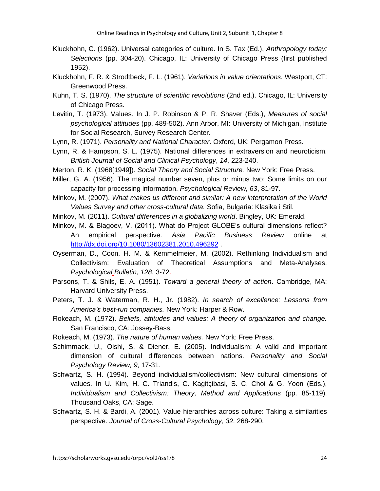- Kluckhohn, C. (1962). Universal categories of culture. In S. Tax (Ed.), *Anthropology today: Selections* (pp. 304-20). Chicago, IL: University of Chicago Press (first published 1952).
- Kluckhohn, F. R. & Strodtbeck, F. L. (1961). *Variations in value orientations.* Westport, CT: Greenwood Press.
- Kuhn, T. S. (1970). *The structure of scientific revolutions* (2nd ed.). Chicago, IL: University of Chicago Press.
- Levitin, T. (1973). Values. In J. P. Robinson & P. R. Shaver (Eds.), *Measures of social psychological attitudes* (pp. 489-502). Ann Arbor, MI: University of Michigan, Institute for Social Research, Survey Research Center.
- Lynn, R. (1971). *Personality and National Character*. Oxford, UK: Pergamon Press.
- Lynn, R. & Hampson, S. L. (1975). National differences in extraversion and neuroticism. *British Journal of Social and Clinical Psychology*, *14*, 223-240.
- Merton, R. K. (1968[1949]). *Social Theory and Social Structure.* New York: Free Press.
- Miller, G. A. (1956). The magical number seven, plus or minus two: Some limits on our capacity for processing information. *Psychological Review, 63*, 81-97.
- Minkov, M. (2007). *What makes us different and similar: A new interpretation of the World Values Survey and other cross-cultural data.* Sofia, Bulgaria: Klasika i Stil.
- Minkov, M. (2011). *Cultural differences in a globalizing world*. Bingley, UK: Emerald.
- Minkov, M. & Blagoev, V. (2011). What do Project GLOBE's cultural dimensions reflect? An empirical perspective. *Asia Pacific Business Review* online at <http://dx.doi.org/10.1080/13602381.2010.496292> .
- Oyserman, D., Coon, H. M. & Kemmelmeier, M. (2002). Rethinking Individualism and Collectivism: Evaluation of Theoretical Assumptions and Meta-Analyses. *Psychological Bulletin*, *128*, 3-72.
- Parsons, T. & Shils, E. A. (1951). *Toward a general theory of action*. Cambridge, MA: Harvard University Press.
- Peters, T. J. & Waterman, R. H., Jr. (1982). *In search of excellence: Lessons from America's best-run companies.* New York: Harper & Row.
- Rokeach, M. (1972). *Beliefs, attitudes and values: A theory of organization and change.* San Francisco, CA: Jossey-Bass.
- Rokeach, M. (1973). *The nature of human values.* New York: Free Press.
- Schimmack, U., Oishi, S. & Diener, E. (2005). Individualism: A valid and important dimension of cultural differences between nations. *Personality and Social Psychology Review, 9*, 17-31.
- Schwartz, S. H. (1994). Beyond individualism/collectivism: New cultural dimensions of values. In U. Kim, H. C. Triandis, C. Kagitçibasi, S. C. Choi & G. Yoon (Eds.), *Individualism and Collectivism: Theory, Method and Applications* (pp. 85-119). Thousand Oaks, CA: Sage.
- Schwartz, S. H. & Bardi, A. (2001). Value hierarchies across culture: Taking a similarities perspective. *Journal of Cross-Cultural Psychology, 32*, 268-290.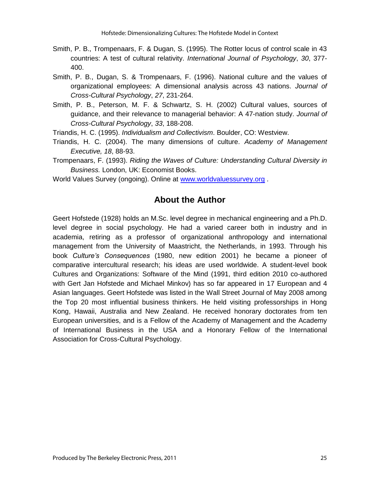- Smith, P. B., Trompenaars, F. & Dugan, S. (1995). The Rotter locus of control scale in 43 countries: A test of cultural relativity. *International Journal of Psychology*, *30*, 377- 400.
- Smith, P. B., Dugan, S. & Trompenaars, F. (1996). National culture and the values of organizational employees: A dimensional analysis across 43 nations. *Journal of Cross-Cultural Psychology*, *27*, 231-264.
- Smith, P. B., Peterson, M. F. & Schwartz, S. H. (2002) Cultural values, sources of guidance, and their relevance to managerial behavior: A 47-nation study. *Journal of Cross-Cultural Psychology*, *33*, 188-208.

Triandis, H. C. (1995). *Individualism and Collectivism*. Boulder, CO: Westview.

- Triandis, H. C. (2004). The many dimensions of culture. *Academy of Management Executive, 18*, 88-93.
- Trompenaars, F. (1993). *Riding the Waves of Culture: Understanding Cultural Diversity in Business.* London, UK: Economist Books.

World Values Survey (ongoing). Online at [www.worldvaluessurvey.org](http://www.worldvaluessurvey.org/) .

### **About the Author**

Geert Hofstede (1928) holds an M.Sc. level degree in mechanical engineering and a Ph.D. level degree in social psychology. He had a varied career both in industry and in academia, retiring as a professor of organizational anthropology and international management from the University of Maastricht, the Netherlands, in 1993. Through his book *Culture's Consequences* (1980, new edition 2001) he became a pioneer of comparative intercultural research; his ideas are used worldwide. A student-level book Cultures and Organizations: Software of the Mind (1991, third edition 2010 co-authored with Gert Jan Hofstede and Michael Minkov) has so far appeared in 17 European and 4 Asian languages. Geert Hofstede was listed in the Wall Street Journal of May 2008 among the Top 20 most influential business thinkers. He held visiting professorships in Hong Kong, Hawaii, Australia and New Zealand. He received honorary doctorates from ten European universities, and is a Fellow of the Academy of Management and the Academy of International Business in the USA and a Honorary Fellow of the International Association for Cross-Cultural Psychology.